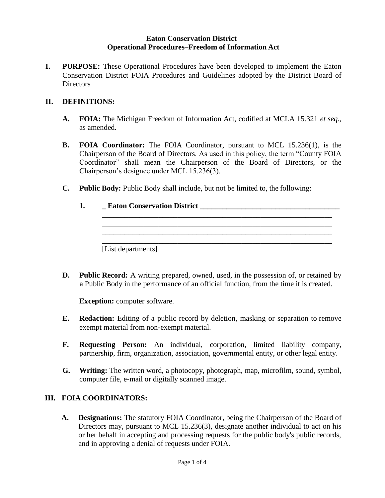#### **Eaton Conservation District Operational Procedures–Freedom of Information Act**

**I. PURPOSE:** These Operational Procedures have been developed to implement the Eaton Conservation District FOIA Procedures and Guidelines adopted by the District Board of Directors

#### **II. DEFINITIONS:**

- **A. FOIA:** The Michigan Freedom of Information Act, codified at MCLA 15.321 *et seq*., as amended.
- **B. FOIA Coordinator:** The FOIA Coordinator, pursuant to MCL 15.236(1), is the Chairperson of the Board of Directors. As used in this policy, the term "County FOIA Coordinator" shall mean the Chairperson of the Board of Directors, or the Chairperson's designee under MCL 15.236(3).

**\_\_\_\_\_\_\_\_\_\_\_\_\_\_\_\_\_\_\_\_\_\_\_\_\_\_\_\_\_\_\_\_\_\_\_\_\_\_\_\_\_\_\_\_\_\_\_\_\_\_\_\_\_\_\_\_\_\_\_\_\_** \_\_\_\_\_\_\_\_\_\_\_\_\_\_\_\_\_\_\_\_\_\_\_\_\_\_\_\_\_\_\_\_\_\_\_\_\_\_\_\_\_\_\_\_\_\_\_\_\_\_\_\_\_\_\_\_\_\_\_\_\_

\_\_\_\_\_\_\_\_\_\_\_\_\_\_\_\_\_\_\_\_\_\_\_\_\_\_\_\_\_\_\_\_\_\_\_\_\_\_\_\_\_\_\_\_\_\_\_\_\_\_\_\_\_\_\_\_\_\_\_\_\_

- **C. Public Body:** Public Body shall include, but not be limited to, the following:
	- **1. \_ Eaton Conservation District \_\_\_\_\_\_\_\_\_\_\_\_\_\_\_\_\_\_\_\_\_\_\_\_\_\_\_\_\_\_\_\_\_\_\_\_\_**

[List departments]

**D. Public Record:** A writing prepared, owned, used, in the possession of, or retained by a Public Body in the performance of an official function, from the time it is created.

**Exception:** computer software.

- **E. Redaction:** Editing of a public record by deletion, masking or separation to remove exempt material from non**-**exempt material.
- **F. Requesting Person:** An individual, corporation, limited liability company, partnership, firm, organization, association, governmental entity, or other legal entity.
- **G. Writing:** The written word, a photocopy, photograph, map, microfilm, sound, symbol, computer file, e-mail or digitally scanned image.

#### **III. FOIA COORDINATORS:**

**A. Designations:** The statutory FOIA Coordinator, being the Chairperson of the Board of Directors may, pursuant to MCL 15.236(3), designate another individual to act on his or her behalf in accepting and processing requests for the public body's public records, and in approving a denial of requests under FOIA.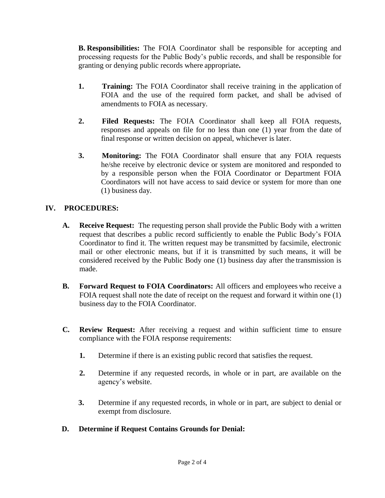**B. Responsibilities:** The FOIA Coordinator shall be responsible for accepting and processing requests for the Public Body's public records, and shall be responsible for granting or denying public records where appropriate**.**

- **1. Training:** The FOIA Coordinator shall receive training in the application of FOIA and the use of the required form packet, and shall be advised of amendments to FOIA as necessary.
- **2. Filed Requests:** The FOIA Coordinator shall keep all FOIA requests, responses and appeals on file for no less than one (1) year from the date of final response or written decision on appeal, whichever is later.
- **3. Monitoring:** The FOIA Coordinator shall ensure that any FOIA requests he/she receive by electronic device or system are monitored and responded to by a responsible person when the FOIA Coordinator or Department FOIA Coordinators will not have access to said device or system for more than one (1) business day.

## **IV. PROCEDURES:**

- **A. Receive Request:** The requesting person shall provide the Public Body with a written request that describes a public record sufficiently to enable the Public Body's FOIA Coordinator to find it. The written request may be transmitted by facsimile, electronic mail or other electronic means, but if it is transmitted by such means, it will be considered received by the Public Body one (1) business day after the transmission is made.
- **B. Forward Request to FOIA Coordinators:** All officers and employees who receive a FOIA request shall note the date of receipt on the request and forward it within one (1) business day to the FOIA Coordinator.
- **C. Review Request:** After receiving a request and within sufficient time to ensure compliance with the FOIA response requirements:
	- **1.** Determine if there is an existing public record that satisfies the request.
	- **2.** Determine if any requested records, in whole or in part, are available on the agency's website.
	- **3.** Determine if any requested records, in whole or in part, are subject to denial or exempt from disclosure.

## **D. Determine if Request Contains Grounds for Denial:**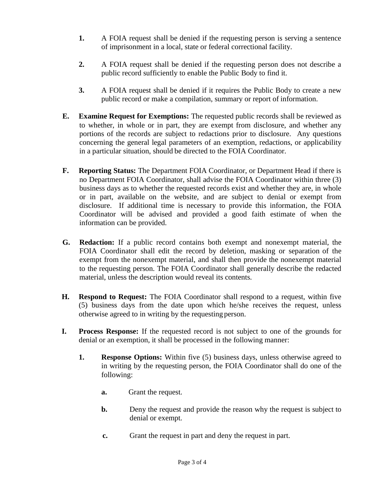- **1.** A FOIA request shall be denied if the requesting person is serving a sentence of imprisonment in a local, state or federal correctional facility.
- **2.** A FOIA request shall be denied if the requesting person does not describe a public record sufficiently to enable the Public Body to find it.
- **3.** A FOIA request shall be denied if it requires the Public Body to create a new public record or make a compilation, summary or report of information.
- **E. Examine Request for Exemptions:** The requested public records shall be reviewed as to whether, in whole or in part, they are exempt from disclosure, and whether any portions of the records are subject to redactions prior to disclosure. Any questions concerning the general legal parameters of an exemption, redactions, or applicability in a particular situation, should be directed to the FOIA Coordinator.
- **F. Reporting Status:** The Department FOIA Coordinator, or Department Head if there is no Department FOIA Coordinator, shall advise the FOIA Coordinator within three (3) business days as to whether the requested records exist and whether they are, in whole or in part, available on the website, and are subject to denial or exempt from disclosure. If additional time is necessary to provide this information, the FOIA Coordinator will be advised and provided a good faith estimate of when the information can be provided.
- **G. Redaction:** If a public record contains both exempt and nonexempt material, the FOIA Coordinator shall edit the record by deletion, masking or separation of the exempt from the nonexempt material, and shall then provide the nonexempt material to the requesting person. The FOIA Coordinator shall generally describe the redacted material, unless the description would reveal its contents.
- **H. Respond to Request:** The FOIA Coordinator shall respond to a request, within five (5) business days from the date upon which he/she receives the request, unless otherwise agreed to in writing by the requesting person.
- **I. Process Response:** If the requested record is not subject to one of the grounds for denial or an exemption, it shall be processed in the following manner:
	- **1. Response Options:** Within five (5) business days, unless otherwise agreed to in writing by the requesting person, the FOIA Coordinator shall do one of the following:
		- **a.** Grant the request.
		- **b.** Deny the request and provide the reason why the request is subject to denial or exempt.
		- **c.** Grant the request in part and deny the request in part.